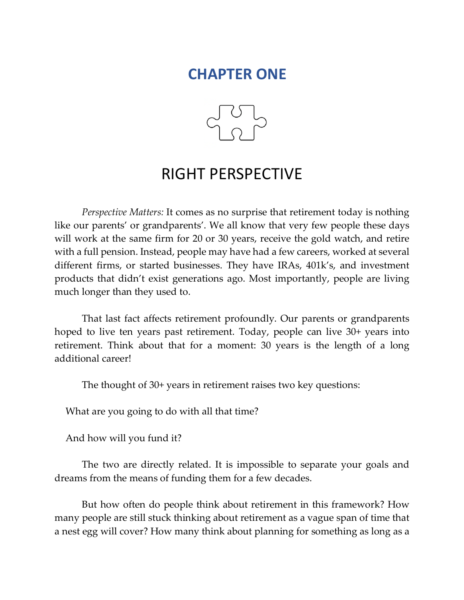# **CHAPTER ONE**



# RIGHT PERSPECTIVE

*Perspective Matters:* It comes as no surprise that retirement today is nothing like our parents' or grandparents'. We all know that very few people these days will work at the same firm for 20 or 30 years, receive the gold watch, and retire with a full pension. Instead, people may have had a few careers, worked at several different firms, or started businesses. They have IRAs, 401k's, and investment products that didn't exist generations ago. Most importantly, people are living much longer than they used to.

That last fact affects retirement profoundly. Our parents or grandparents hoped to live ten years past retirement. Today, people can live 30+ years into retirement. Think about that for a moment: 30 years is the length of a long additional career!

The thought of 30+ years in retirement raises two key questions:

What are you going to do with all that time?

And how will you fund it?

The two are directly related. It is impossible to separate your goals and dreams from the means of funding them for a few decades.

But how often do people think about retirement in this framework? How many people are still stuck thinking about retirement as a vague span of time that a nest egg will cover? How many think about planning for something as long as a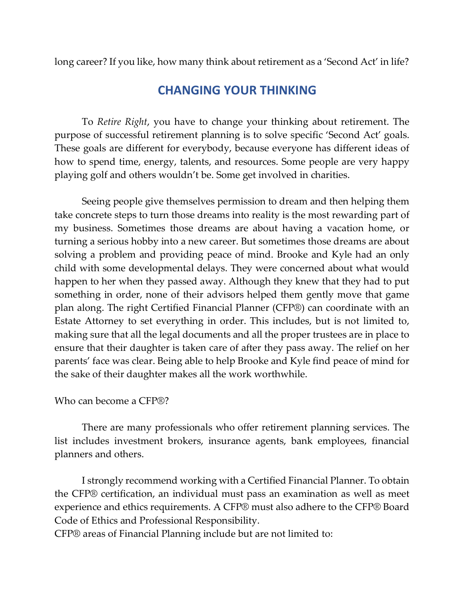long career? If you like, how many think about retirement as a 'Second Act' in life?

### **CHANGING YOUR THINKING**

To *Retire Right*, you have to change your thinking about retirement. The purpose of successful retirement planning is to solve specific 'Second Act' goals. These goals are different for everybody, because everyone has different ideas of how to spend time, energy, talents, and resources. Some people are very happy playing golf and others wouldn't be. Some get involved in charities.

Seeing people give themselves permission to dream and then helping them take concrete steps to turn those dreams into reality is the most rewarding part of my business. Sometimes those dreams are about having a vacation home, or turning a serious hobby into a new career. But sometimes those dreams are about solving a problem and providing peace of mind. Brooke and Kyle had an only child with some developmental delays. They were concerned about what would happen to her when they passed away. Although they knew that they had to put something in order, none of their advisors helped them gently move that game plan along. The right Certified Financial Planner (CFP®) can coordinate with an Estate Attorney to set everything in order. This includes, but is not limited to, making sure that all the legal documents and all the proper trustees are in place to ensure that their daughter is taken care of after they pass away. The relief on her parents' face was clear. Being able to help Brooke and Kyle find peace of mind for the sake of their daughter makes all the work worthwhile.

#### Who can become a CFP®?

There are many professionals who offer retirement planning services. The list includes investment brokers, insurance agents, bank employees, financial planners and others.

I strongly recommend working with a Certified Financial Planner. To obtain the CFP® certification, an individual must pass an examination as well as meet experience and ethics requirements. A CFP® must also adhere to the CFP® Board Code of Ethics and Professional Responsibility.

CFP® areas of Financial Planning include but are not limited to: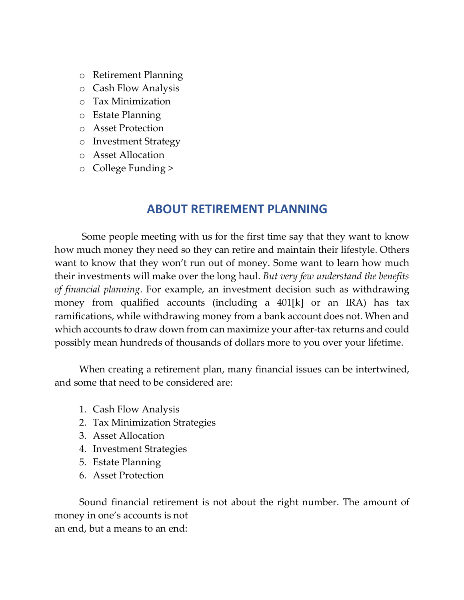- o Retirement Planning
- o Cash Flow Analysis
- o Tax Minimization
- o Estate Planning
- o Asset Protection
- o Investment Strategy
- o Asset Allocation
- o College Funding >

### **ABOUT RETIREMENT PLANNING**

Some people meeting with us for the first time say that they want to know how much money they need so they can retire and maintain their lifestyle. Others want to know that they won't run out of money. Some want to learn how much their investments will make over the long haul. *But very few understand the benefits of financial planning*. For example, an investment decision such as withdrawing money from qualified accounts (including a 401[k] or an IRA) has tax ramifications, while withdrawing money from a bank account does not. When and which accounts to draw down from can maximize your after-tax returns and could possibly mean hundreds of thousands of dollars more to you over your lifetime.

When creating a retirement plan, many financial issues can be intertwined, and some that need to be considered are:

- 1. Cash Flow Analysis
- 2. Tax Minimization Strategies
- 3. Asset Allocation
- 4. Investment Strategies
- 5. Estate Planning
- 6. Asset Protection

Sound financial retirement is not about the right number. The amount of money in one's accounts is not an end, but a means to an end: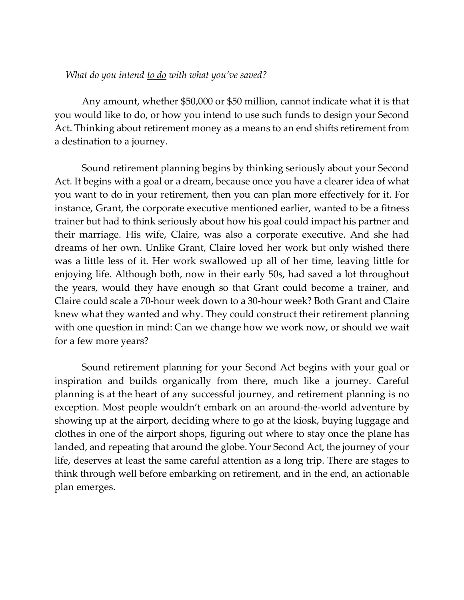#### *What do you intend to do with what you've saved?*

Any amount, whether \$50,000 or \$50 million, cannot indicate what it is that you would like to do, or how you intend to use such funds to design your Second Act. Thinking about retirement money as a means to an end shifts retirement from a destination to a journey.

Sound retirement planning begins by thinking seriously about your Second Act. It begins with a goal or a dream, because once you have a clearer idea of what you want to do in your retirement, then you can plan more effectively for it. For instance, Grant, the corporate executive mentioned earlier, wanted to be a fitness trainer but had to think seriously about how his goal could impact his partner and their marriage. His wife, Claire, was also a corporate executive. And she had dreams of her own. Unlike Grant, Claire loved her work but only wished there was a little less of it. Her work swallowed up all of her time, leaving little for enjoying life. Although both, now in their early 50s, had saved a lot throughout the years, would they have enough so that Grant could become a trainer, and Claire could scale a 70-hour week down to a 30-hour week? Both Grant and Claire knew what they wanted and why. They could construct their retirement planning with one question in mind: Can we change how we work now, or should we wait for a few more years?

Sound retirement planning for your Second Act begins with your goal or inspiration and builds organically from there, much like a journey. Careful planning is at the heart of any successful journey, and retirement planning is no exception. Most people wouldn't embark on an around-the-world adventure by showing up at the airport, deciding where to go at the kiosk, buying luggage and clothes in one of the airport shops, figuring out where to stay once the plane has landed, and repeating that around the globe. Your Second Act, the journey of your life, deserves at least the same careful attention as a long trip. There are stages to think through well before embarking on retirement, and in the end, an actionable plan emerges.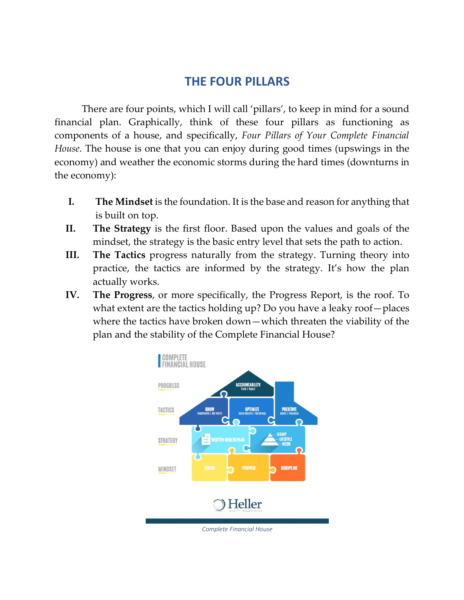## **THE FOUR PILLARS**

There are four points, which I will call 'pillars', to keep in mind for a sound financial plan. Graphically, think of these four pillars as functioning as components of a house, and specifically, *Four Pillars of Your Complete Financial House*. The house is one that you can enjoy during good times (upswings in the economy) and weather the economic storms during the hard times (downturns in the economy):

- **I. The Mindset** is the foundation. It is the base and reason for anything that is built on top.
- **II. The Strategy** is the first floor. Based upon the values and goals of the mindset, the strategy is the basic entry level that sets the path to action.
- **III. The Tactics** progress naturally from the strategy. Turning theory into practice, the tactics are informed by the strategy. It's how the plan actually works.
- **IV. The Progress**, or more specifically, the Progress Report, is the roof. To what extent are the tactics holding up? Do you have a leaky roof—places where the tactics have broken down—which threaten the viability of the plan and the stability of the Complete Financial House?